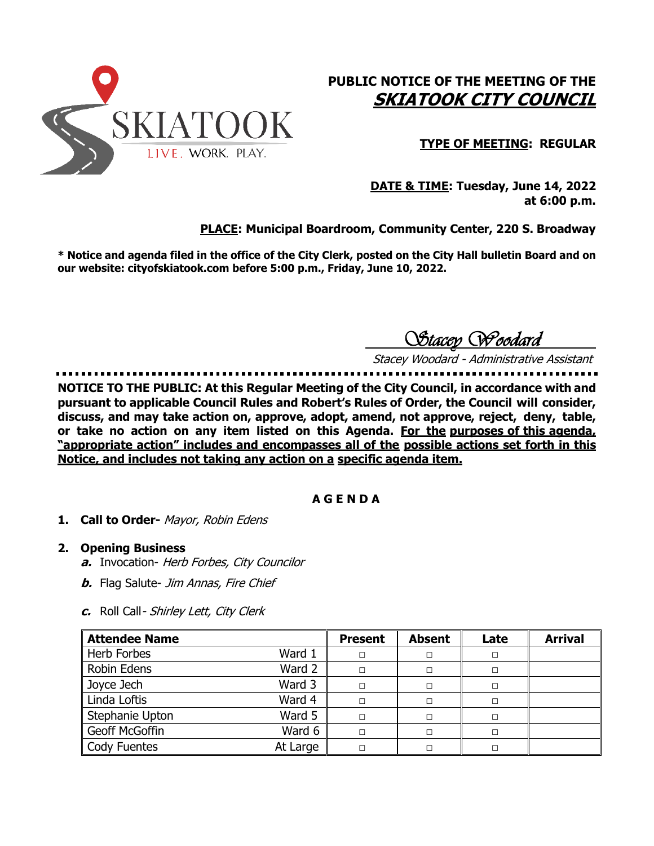

# **PUBLIC NOTICE OF THE MEETING OF THE SKIATOOK CITY COUNCIL**

**TYPE OF MEETING: REGULAR**

**DATE & TIME: Tuesday, June 14, 2022 at 6:00 p.m.**

**PLACE: Municipal Boardroom, Community Center, 220 S. Broadway**

**\* Notice and agenda filed in the office of the City Clerk, posted on the City Hall bulletin Board and on our website: cityofskiatook.com before 5:00 p.m., Friday, June 10, 2022.**

*Stacey Woodard*

Stacey Woodard - Administrative Assistant

**NOTICE TO THE PUBLIC: At this Regular Meeting of the City Council, in accordance with and pursuant to applicable Council Rules and Robert's Rules of Order, the Council will consider, discuss, and may take action on, approve, adopt, amend, not approve, reject, deny, table, or take no action on any item listed on this Agenda. For the purposes of this agenda, "appropriate action" includes and encompasses all of the possible actions set forth in this Notice, and includes not taking any action on a specific agenda item.**

- **A G E N D A**
- **1. Call to Order-** Mayor, Robin Edens
- **2. Opening Business**
	- **a.** Invocation- Herb Forbes, City Councilor
	- **b.** Flag Salute- Jim Annas, Fire Chief
	- **c.** Roll Call- Shirley Lett, City Clerk

| Attendee Name   |          | <b>Present</b> | <b>Absent</b> | Late | <b>Arrival</b> |
|-----------------|----------|----------------|---------------|------|----------------|
| Herb Forbes     | Ward 1   | $\Box$         | П             | П    |                |
| Robin Edens     | Ward 2   | $\Box$         | П             | п    |                |
| Joyce Jech      | Ward 3   | $\Box$         | $\Box$        | П    |                |
| Linda Loftis    | Ward 4   | $\Box$         | П             | П    |                |
| Stephanie Upton | Ward 5   | $\Box$         | п             | п    |                |
| Geoff McGoffin  | Ward 6   | П              | П             | П    |                |
| Cody Fuentes    | At Large | □              |               |      |                |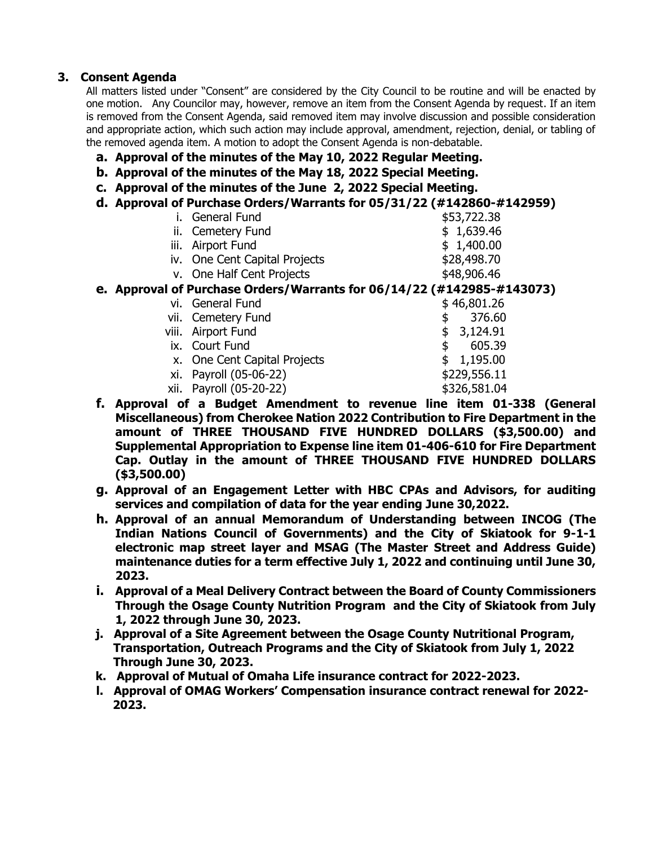### **3. Consent Agenda**

All matters listed under "Consent" are considered by the City Council to be routine and will be enacted by one motion. Any Councilor may, however, remove an item from the Consent Agenda by request. If an item is removed from the Consent Agenda, said removed item may involve discussion and possible consideration and appropriate action, which such action may include approval, amendment, rejection, denial, or tabling of the removed agenda item. A motion to adopt the Consent Agenda is non-debatable.

- **a. Approval of the minutes of the May 10, 2022 Regular Meeting.**
- **b. Approval of the minutes of the May 18, 2022 Special Meeting.**
- **c. Approval of the minutes of the June 2, 2022 Special Meeting.**
- **d. Approval of Purchase Orders/Warrants for 05/31/22 (#142860-#142959)**

|  | i. General Fund                                                        | \$53,722.38 |
|--|------------------------------------------------------------------------|-------------|
|  | ii. Cemetery Fund                                                      | \$1,639.46  |
|  | iii. Airport Fund                                                      | \$1,400.00  |
|  | iv. One Cent Capital Projects                                          | \$28,498.70 |
|  | v. One Half Cent Projects                                              | \$48,906.46 |
|  | e. Approval of Purchase Orders/Warrants for 06/14/22 (#142985-#143073) |             |
|  | vi. General Fund                                                       | \$46,801.26 |
|  | vii. Cemetery Fund                                                     | - 376.60    |

| vii. Cemetery Fund           | \$<br>376.60 |
|------------------------------|--------------|
| viii. Airport Fund           | \$3,124.91   |
| ix. Court Fund               | \$605.39     |
| x. One Cent Capital Projects | \$1,195.00   |
| xi. Payroll (05-06-22)       | \$229,556.11 |
| xii. Payroll (05-20-22)      | \$326,581.04 |

- **f. Approval of a Budget Amendment to revenue line item 01-338 (General Miscellaneous) from Cherokee Nation 2022 Contribution to Fire Department in the amount of THREE THOUSAND FIVE HUNDRED DOLLARS (\$3,500.00) and Supplemental Appropriation to Expense line item 01-406-610 for Fire Department Cap. Outlay in the amount of THREE THOUSAND FIVE HUNDRED DOLLARS (\$3,500.00)**
- **g. Approval of an Engagement Letter with HBC CPAs and Advisors, for auditing services and compilation of data for the year ending June 30,2022.**
- **h. Approval of an annual Memorandum of Understanding between INCOG (The Indian Nations Council of Governments) and the City of Skiatook for 9-1-1 electronic map street layer and MSAG (The Master Street and Address Guide) maintenance duties for a term effective July 1, 2022 and continuing until June 30, 2023.**
- **i. Approval of a Meal Delivery Contract between the Board of County Commissioners Through the Osage County Nutrition Program and the City of Skiatook from July 1, 2022 through June 30, 2023.**
- **j. Approval of a Site Agreement between the Osage County Nutritional Program, Transportation, Outreach Programs and the City of Skiatook from July 1, 2022 Through June 30, 2023.**
- **k. Approval of Mutual of Omaha Life insurance contract for 2022-2023.**
- **l. Approval of OMAG Workers' Compensation insurance contract renewal for 2022- 2023.**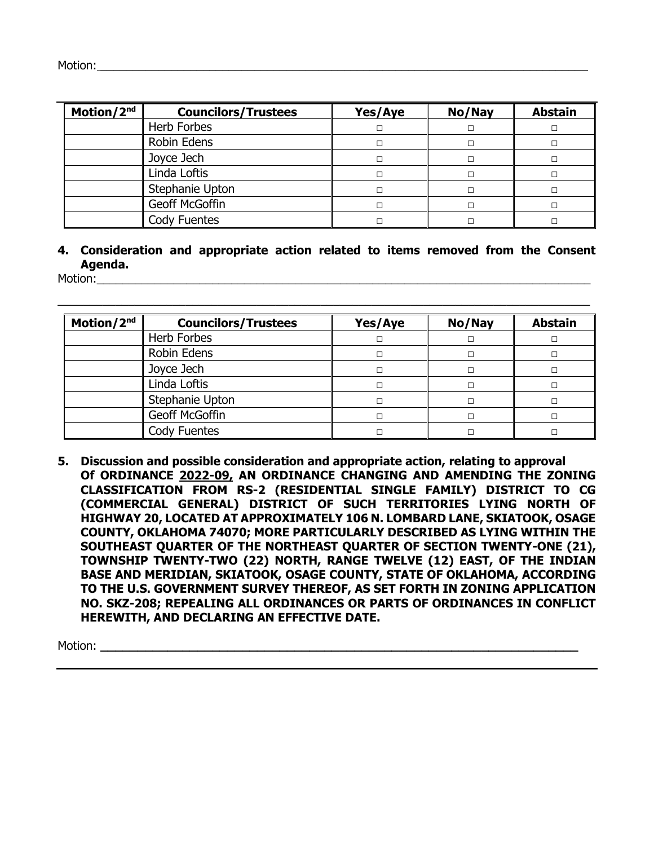| Motion/2nd | <b>Councilors/Trustees</b> | Yes/Aye | No/Nay | <b>Abstain</b> |
|------------|----------------------------|---------|--------|----------------|
|            | Herb Forbes                |         |        |                |
|            | Robin Edens                |         |        |                |
|            | Joyce Jech                 |         |        |                |
|            | Linda Loftis               |         |        |                |
|            | Stephanie Upton            |         |        |                |
|            | Geoff McGoffin             |         |        |                |
|            | Cody Fuentes               |         |        |                |

## **4. Consideration and appropriate action related to items removed from the Consent Agenda.**

\_\_\_\_\_\_\_\_\_\_\_\_\_\_\_\_\_\_\_\_\_\_\_\_\_\_\_\_\_\_\_\_\_\_\_\_\_\_\_\_\_\_\_\_\_\_\_\_\_\_\_\_\_\_\_\_\_\_\_\_\_\_\_\_\_\_\_\_\_\_\_\_\_\_\_\_\_\_\_\_\_\_\_

Motion:

| Motion/2 <sup>nd</sup> | <b>Councilors/Trustees</b> | Yes/Aye | No/Nay | <b>Abstain</b> |
|------------------------|----------------------------|---------|--------|----------------|
|                        | Herb Forbes                |         |        |                |
|                        | Robin Edens                |         |        |                |
|                        | Joyce Jech                 |         |        |                |
|                        | Linda Loftis               |         |        |                |
|                        | Stephanie Upton            |         |        |                |
|                        | Geoff McGoffin             |         |        |                |
|                        | <b>Cody Fuentes</b>        |         |        |                |

**5. Discussion and possible consideration and appropriate action, relating to approval Of ORDINANCE 2022-09, AN ORDINANCE CHANGING AND AMENDING THE ZONING CLASSIFICATION FROM RS-2 (RESIDENTIAL SINGLE FAMILY) DISTRICT TO CG (COMMERCIAL GENERAL) DISTRICT OF SUCH TERRITORIES LYING NORTH OF HIGHWAY 20, LOCATED AT APPROXIMATELY 106 N. LOMBARD LANE, SKIATOOK, OSAGE COUNTY, OKLAHOMA 74070; MORE PARTICULARLY DESCRIBED AS LYING WITHIN THE SOUTHEAST QUARTER OF THE NORTHEAST QUARTER OF SECTION TWENTY-ONE (21), TOWNSHIP TWENTY-TWO (22) NORTH, RANGE TWELVE (12) EAST, OF THE INDIAN BASE AND MERIDIAN, SKIATOOK, OSAGE COUNTY, STATE OF OKLAHOMA, ACCORDING TO THE U.S. GOVERNMENT SURVEY THEREOF, AS SET FORTH IN ZONING APPLICATION NO. SKZ-208; REPEALING ALL ORDINANCES OR PARTS OF ORDINANCES IN CONFLICT HEREWITH, AND DECLARING AN EFFECTIVE DATE.**

Motion: **\_\_\_\_\_\_\_\_\_\_\_\_\_\_\_\_\_\_\_\_\_\_\_\_\_\_\_\_\_\_\_\_\_\_\_\_\_\_\_\_\_\_\_\_\_\_\_\_\_\_\_\_\_\_\_\_\_\_\_\_\_\_\_\_**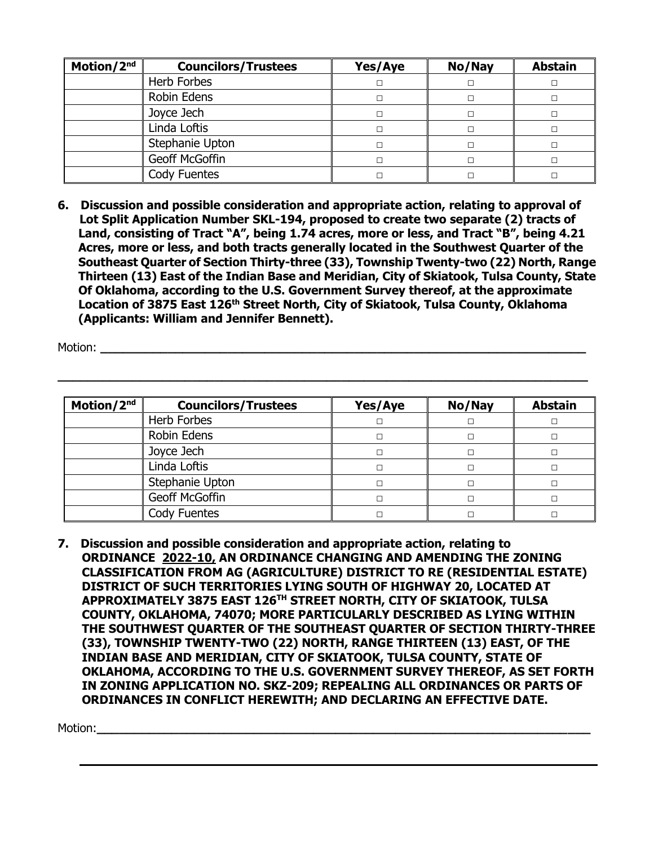| Motion/2nd | <b>Councilors/Trustees</b> | Yes/Aye | No/Nay | <b>Abstain</b> |
|------------|----------------------------|---------|--------|----------------|
|            | Herb Forbes                |         |        |                |
|            | Robin Edens                |         |        |                |
|            | Joyce Jech                 |         |        |                |
|            | Linda Loftis               |         |        |                |
|            | Stephanie Upton            |         |        |                |
|            | Geoff McGoffin             |         |        |                |
|            | Cody Fuentes               |         |        |                |

**6. Discussion and possible consideration and appropriate action, relating to approval of Lot Split Application Number SKL-194, proposed to create two separate (2) tracts of Land, consisting of Tract "A", being 1.74 acres, more or less, and Tract "B", being 4.21 Acres, more or less, and both tracts generally located in the Southwest Quarter of the Southeast Quarter of Section Thirty-three (33), Township Twenty-two (22) North, Range Thirteen (13) East of the Indian Base and Meridian, City of Skiatook, Tulsa County, State Of Oklahoma, according to the U.S. Government Survey thereof, at the approximate Location of 3875 East 126th Street North, City of Skiatook, Tulsa County, Oklahoma (Applicants: William and Jennifer Bennett).**

Motion: **\_\_\_\_\_\_\_\_\_\_\_\_\_\_\_\_\_\_\_\_\_\_\_\_\_\_\_\_\_\_\_\_\_\_\_\_\_\_\_\_\_\_\_\_\_\_\_\_\_\_\_\_\_\_\_\_\_\_\_\_\_\_\_\_\_**

| Motion/2nd | <b>Councilors/Trustees</b> | Yes/Aye | No/Nay | <b>Abstain</b> |
|------------|----------------------------|---------|--------|----------------|
|            | Herb Forbes                |         |        |                |
|            | Robin Edens                |         |        |                |
|            | Joyce Jech                 |         |        |                |
|            | Linda Loftis               | П       |        |                |
|            | Stephanie Upton            |         |        |                |
|            | Geoff McGoffin             |         |        |                |
|            | Cody Fuentes               |         |        |                |

**\_\_\_\_\_\_\_\_\_\_\_\_\_\_\_\_\_\_\_\_\_\_\_\_\_\_\_\_\_\_\_\_\_\_\_\_\_\_\_\_\_\_\_\_\_\_\_\_\_\_\_\_\_\_\_\_\_\_\_\_\_\_\_\_\_\_\_\_\_\_\_** 

**7. Discussion and possible consideration and appropriate action, relating to ORDINANCE 2022-10, AN ORDINANCE CHANGING AND AMENDING THE ZONING CLASSIFICATION FROM AG (AGRICULTURE) DISTRICT TO RE (RESIDENTIAL ESTATE) DISTRICT OF SUCH TERRITORIES LYING SOUTH OF HIGHWAY 20, LOCATED AT APPROXIMATELY 3875 EAST 126TH STREET NORTH, CITY OF SKIATOOK, TULSA COUNTY, OKLAHOMA, 74070; MORE PARTICULARLY DESCRIBED AS LYING WITHIN THE SOUTHWEST QUARTER OF THE SOUTHEAST QUARTER OF SECTION THIRTY-THREE (33), TOWNSHIP TWENTY-TWO (22) NORTH, RANGE THIRTEEN (13) EAST, OF THE INDIAN BASE AND MERIDIAN, CITY OF SKIATOOK, TULSA COUNTY, STATE OF OKLAHOMA, ACCORDING TO THE U.S. GOVERNMENT SURVEY THEREOF, AS SET FORTH IN ZONING APPLICATION NO. SKZ-209; REPEALING ALL ORDINANCES OR PARTS OF ORDINANCES IN CONFLICT HEREWITH; AND DECLARING AN EFFECTIVE DATE.**

Motion:**\_\_\_\_\_\_\_\_\_\_\_\_\_\_\_\_\_\_\_\_\_\_\_\_\_\_\_\_\_\_\_\_\_\_\_\_\_\_\_\_\_\_\_\_\_\_\_\_\_\_\_\_\_\_\_\_\_\_\_\_\_\_\_\_\_\_**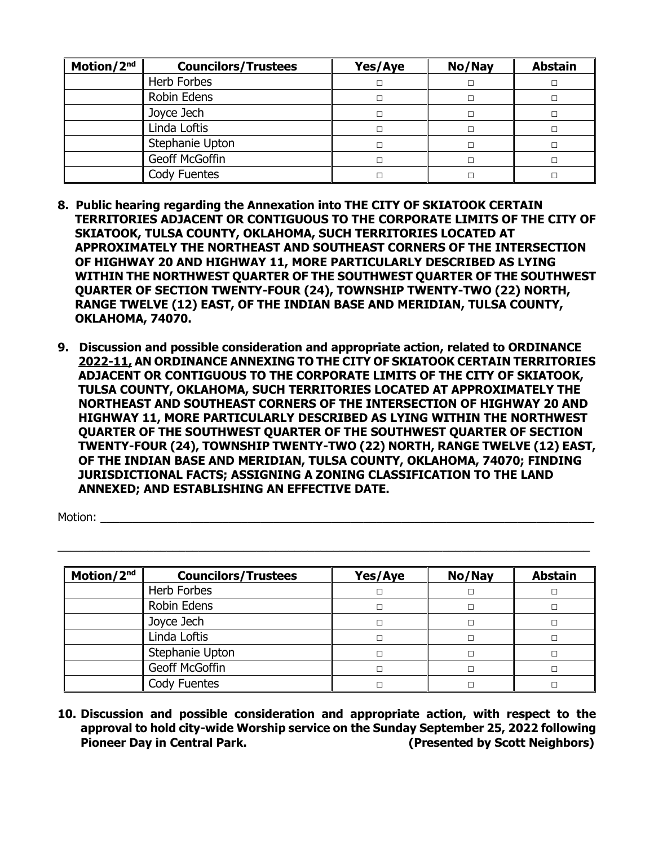| Motion/2nd | <b>Councilors/Trustees</b> | Yes/Aye | No/Nay | <b>Abstain</b> |
|------------|----------------------------|---------|--------|----------------|
|            | Herb Forbes                |         |        |                |
|            | Robin Edens                |         |        |                |
|            | Joyce Jech                 |         |        |                |
|            | Linda Loftis               |         |        |                |
|            | Stephanie Upton            |         |        |                |
|            | <b>Geoff McGoffin</b>      |         |        |                |
|            | Cody Fuentes               |         |        |                |

- **8. Public hearing regarding the Annexation into THE CITY OF SKIATOOK CERTAIN TERRITORIES ADJACENT OR CONTIGUOUS TO THE CORPORATE LIMITS OF THE CITY OF SKIATOOK, TULSA COUNTY, OKLAHOMA, SUCH TERRITORIES LOCATED AT APPROXIMATELY THE NORTHEAST AND SOUTHEAST CORNERS OF THE INTERSECTION OF HIGHWAY 20 AND HIGHWAY 11, MORE PARTICULARLY DESCRIBED AS LYING WITHIN THE NORTHWEST QUARTER OF THE SOUTHWEST QUARTER OF THE SOUTHWEST QUARTER OF SECTION TWENTY-FOUR (24), TOWNSHIP TWENTY-TWO (22) NORTH, RANGE TWELVE (12) EAST, OF THE INDIAN BASE AND MERIDIAN, TULSA COUNTY, OKLAHOMA, 74070.**
- **9. Discussion and possible consideration and appropriate action, related to ORDINANCE 2022-11, AN ORDINANCE ANNEXING TO THE CITY OF SKIATOOK CERTAIN TERRITORIES ADJACENT OR CONTIGUOUS TO THE CORPORATE LIMITS OF THE CITY OF SKIATOOK, TULSA COUNTY, OKLAHOMA, SUCH TERRITORIES LOCATED AT APPROXIMATELY THE NORTHEAST AND SOUTHEAST CORNERS OF THE INTERSECTION OF HIGHWAY 20 AND HIGHWAY 11, MORE PARTICULARLY DESCRIBED AS LYING WITHIN THE NORTHWEST QUARTER OF THE SOUTHWEST QUARTER OF THE SOUTHWEST QUARTER OF SECTION TWENTY-FOUR (24), TOWNSHIP TWENTY-TWO (22) NORTH, RANGE TWELVE (12) EAST, OF THE INDIAN BASE AND MERIDIAN, TULSA COUNTY, OKLAHOMA, 74070; FINDING JURISDICTIONAL FACTS; ASSIGNING A ZONING CLASSIFICATION TO THE LAND ANNEXED; AND ESTABLISHING AN EFFECTIVE DATE.**

Motion: \_\_\_\_\_\_\_\_\_\_\_\_\_\_\_\_\_\_\_\_\_\_\_\_\_\_\_\_\_\_\_\_\_\_\_\_\_\_\_\_\_\_\_\_\_\_\_\_\_\_\_\_\_\_\_\_\_\_\_\_\_\_\_\_\_\_\_\_\_\_\_\_\_\_\_\_\_

| Motion/2 <sup>nd</sup> | <b>Councilors/Trustees</b> | Yes/Aye | No/Nay | <b>Abstain</b> |
|------------------------|----------------------------|---------|--------|----------------|
|                        | Herb Forbes                | □       |        |                |
|                        | Robin Edens                |         |        |                |
|                        | Joyce Jech                 |         |        |                |
|                        | Linda Loftis               | П       |        |                |
|                        | Stephanie Upton            |         |        |                |
|                        | Geoff McGoffin             |         |        |                |
|                        | <b>Cody Fuentes</b>        |         |        |                |

 $\_$  , and the set of the set of the set of the set of the set of the set of the set of the set of the set of the set of the set of the set of the set of the set of the set of the set of the set of the set of the set of th

**10. Discussion and possible consideration and appropriate action, with respect to the approval to hold city-wide Worship service on the Sunday September 25, 2022 following Pioneer Day in Central Park. (Presented by Scott Neighbors)**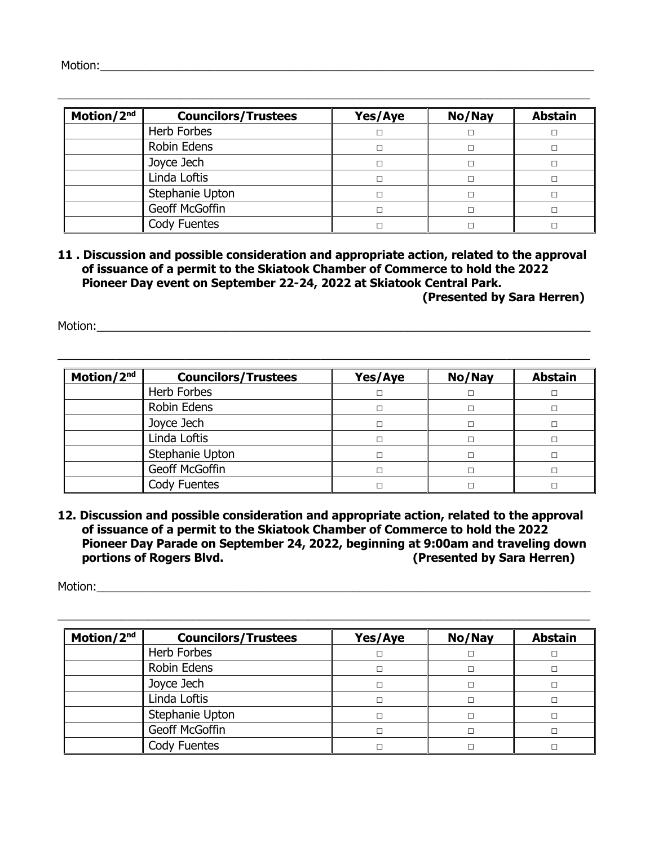| Motion/2nd | <b>Councilors/Trustees</b> | Yes/Aye | No/Nay | <b>Abstain</b> |
|------------|----------------------------|---------|--------|----------------|
|            | Herb Forbes                |         |        |                |
|            | Robin Edens                |         |        |                |
|            | Joyce Jech                 |         |        |                |
|            | Linda Loftis               |         |        |                |
|            | Stephanie Upton            |         |        |                |
|            | Geoff McGoffin             |         |        |                |
|            | Cody Fuentes               |         |        |                |

\_\_\_\_\_\_\_\_\_\_\_\_\_\_\_\_\_\_\_\_\_\_\_\_\_\_\_\_\_\_\_\_\_\_\_\_\_\_\_\_\_\_\_\_\_\_\_\_\_\_\_\_\_\_\_\_\_\_\_\_\_\_\_\_\_\_\_\_\_\_\_\_\_\_\_\_\_\_\_\_\_\_\_

**11 . Discussion and possible consideration and appropriate action, related to the approval of issuance of a permit to the Skiatook Chamber of Commerce to hold the 2022 Pioneer Day event on September 22-24, 2022 at Skiatook Central Park.**

\_\_\_\_\_\_\_\_\_\_\_\_\_\_\_\_\_\_\_\_\_\_\_\_\_\_\_\_\_\_\_\_\_\_\_\_\_\_\_\_\_\_\_\_\_\_\_\_\_\_\_\_\_\_\_\_\_\_\_\_\_\_\_\_\_\_\_\_\_\_\_\_\_\_\_\_\_\_\_\_\_\_\_

 **(Presented by Sara Herren)**

Motion: which is a set of the set of the set of the set of the set of the set of the set of the set of the set of the set of the set of the set of the set of the set of the set of the set of the set of the set of the set o

| Motion/2 <sup>nd</sup> | <b>Councilors/Trustees</b> | Yes/Aye | No/Nay | <b>Abstain</b> |
|------------------------|----------------------------|---------|--------|----------------|
|                        | Herb Forbes                |         |        |                |
|                        | Robin Edens                |         |        |                |
|                        | Joyce Jech                 |         |        |                |
|                        | Linda Loftis               |         |        |                |
|                        | Stephanie Upton            |         |        |                |
|                        | Geoff McGoffin             |         |        |                |
|                        | Cody Fuentes               |         |        |                |

**12. Discussion and possible consideration and appropriate action, related to the approval of issuance of a permit to the Skiatook Chamber of Commerce to hold the 2022 Pioneer Day Parade on September 24, 2022, beginning at 9:00am and traveling down portions of Rogers Blvd. (Presented by Sara Herren)**

\_\_\_\_\_\_\_\_\_\_\_\_\_\_\_\_\_\_\_\_\_\_\_\_\_\_\_\_\_\_\_\_\_\_\_\_\_\_\_\_\_\_\_\_\_\_\_\_\_\_\_\_\_\_\_\_\_\_\_\_\_\_\_\_\_\_\_\_\_\_\_\_\_\_\_\_\_\_\_\_\_\_\_

Motion:\_\_\_\_\_\_\_\_\_\_\_\_\_\_\_\_\_\_\_\_\_\_\_\_\_\_\_\_\_\_\_\_\_\_\_\_\_\_\_\_\_\_\_\_\_\_\_\_\_\_\_\_\_\_\_\_\_\_\_\_\_\_\_\_\_\_\_\_\_\_\_\_\_\_\_\_\_

| Motion/2 <sup>nd</sup> | <b>Councilors/Trustees</b> | Yes/Aye | No/Nay | <b>Abstain</b> |
|------------------------|----------------------------|---------|--------|----------------|
|                        | Herb Forbes                | □       |        |                |
|                        | Robin Edens                | П       |        |                |
|                        | Joyce Jech                 | П       |        |                |
|                        | Linda Loftis               | П       |        |                |
|                        | Stephanie Upton            | П       |        |                |
|                        | Geoff McGoffin             | П       |        |                |
|                        | Cody Fuentes               |         |        |                |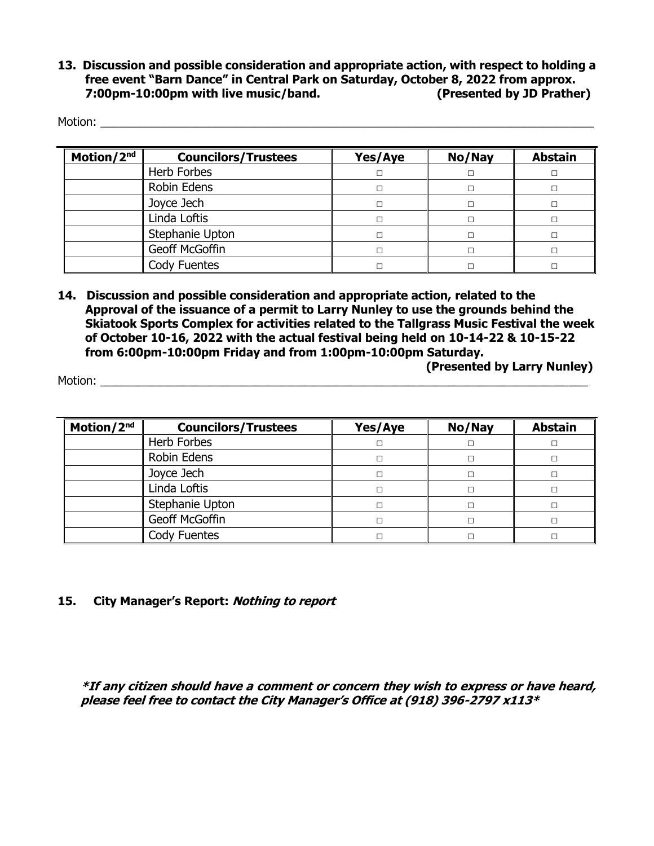**13. Discussion and possible consideration and appropriate action, with respect to holding a free event "Barn Dance" in Central Park on Saturday, October 8, 2022 from approx. 7:00pm-10:00pm with live music/band. (Presented by JD Prather)**

| Motion/2 <sup>nd</sup> | <b>Councilors/Trustees</b> | Yes/Aye | No/Nay | <b>Abstain</b> |
|------------------------|----------------------------|---------|--------|----------------|
|                        | <b>Herb Forbes</b>         |         |        |                |
|                        | Robin Edens                |         |        |                |
|                        | Joyce Jech                 | П       |        |                |
|                        | Linda Loftis               |         |        |                |
|                        | Stephanie Upton            | П       |        |                |
|                        | Geoff McGoffin             |         |        |                |
|                        | Cody Fuentes               |         |        |                |
|                        |                            |         |        |                |

Motion: \_\_\_\_\_\_\_\_\_\_\_\_\_\_\_\_\_\_\_\_\_\_\_\_\_\_\_\_\_\_\_\_\_\_\_\_\_\_\_\_\_\_\_\_\_\_\_\_\_\_\_\_\_\_\_\_\_\_\_\_\_\_\_\_\_\_\_\_\_\_\_\_\_\_\_\_\_

**14. Discussion and possible consideration and appropriate action, related to the Approval of the issuance of a permit to Larry Nunley to use the grounds behind the Skiatook Sports Complex for activities related to the Tallgrass Music Festival the week of October 10-16, 2022 with the actual festival being held on 10-14-22 & 10-15-22 from 6:00pm-10:00pm Friday and from 1:00pm-10:00pm Saturday.** 

 **(Presented by Larry Nunley)**

 $\begin{array}{c} \begin{array}{c} \begin{array}{c} \end{array} \end{array} \end{array}$ 

Motion: \_\_\_\_\_\_\_\_\_\_\_\_\_\_\_\_\_\_\_\_\_\_\_\_\_\_\_\_\_\_\_\_\_\_\_\_\_\_\_\_\_\_\_\_\_\_\_\_\_\_\_\_\_\_\_\_\_\_\_\_\_\_\_\_\_\_\_\_\_\_\_\_\_\_\_\_

| Motion/2 <sup>nd</sup> | <b>Councilors/Trustees</b> | Yes/Aye | No/Nay | <b>Abstain</b> |
|------------------------|----------------------------|---------|--------|----------------|
|                        | Herb Forbes                |         |        |                |
|                        | Robin Edens                | П       |        |                |
|                        | Joyce Jech                 | П       |        |                |
|                        | Linda Loftis               | П       |        |                |
|                        | Stephanie Upton            | П       |        |                |
|                        | Geoff McGoffin             | П       |        |                |
|                        | Cody Fuentes               |         |        |                |

#### **15. City Manager's Report: Nothing to report**

**\*If any citizen should have a comment or concern they wish to express or have heard, please feel free to contact the City Manager's Office at (918) 396-2797 x113\***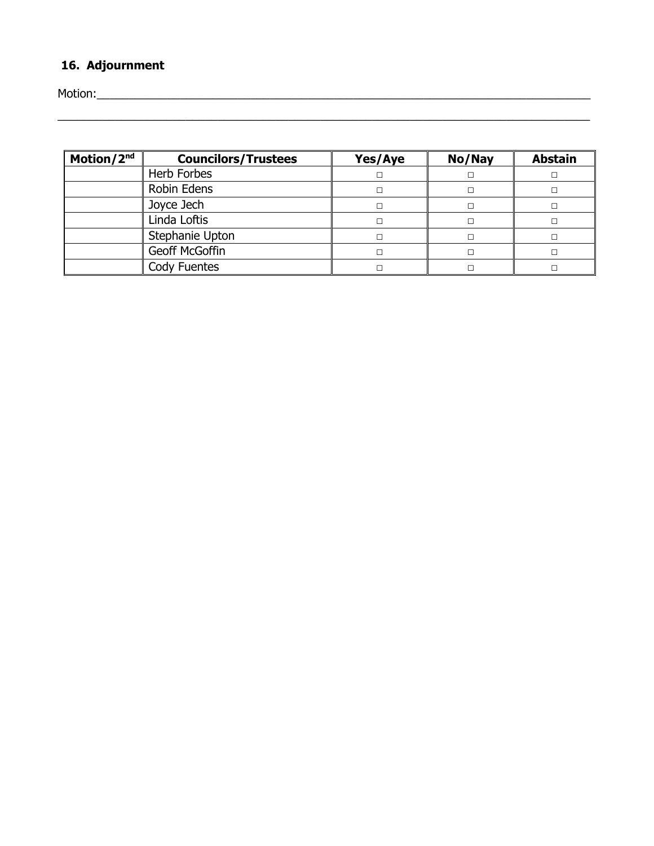## **16. Adjournment**

Motion:\_\_\_\_\_\_\_\_\_\_\_\_\_\_\_\_\_\_\_\_\_\_\_\_\_\_\_\_\_\_\_\_\_\_\_\_\_\_\_\_\_\_\_\_\_\_\_\_\_\_\_\_\_\_\_\_\_\_\_\_\_\_\_\_\_\_\_\_\_\_\_\_\_\_\_\_\_

| Motion/2 <sup>nd</sup> | <b>Councilors/Trustees</b> | Yes/Aye | No/Nay | <b>Abstain</b> |
|------------------------|----------------------------|---------|--------|----------------|
|                        | Herb Forbes                |         |        |                |
|                        | Robin Edens                |         |        |                |
|                        | Joyce Jech                 |         |        |                |
|                        | Linda Loftis               |         |        |                |
|                        | Stephanie Upton            |         |        |                |
|                        | Geoff McGoffin             |         |        |                |
|                        | Cody Fuentes               |         |        |                |

\_\_\_\_\_\_\_\_\_\_\_\_\_\_\_\_\_\_\_\_\_\_\_\_\_\_\_\_\_\_\_\_\_\_\_\_\_\_\_\_\_\_\_\_\_\_\_\_\_\_\_\_\_\_\_\_\_\_\_\_\_\_\_\_\_\_\_\_\_\_\_\_\_\_\_\_\_\_\_\_\_\_\_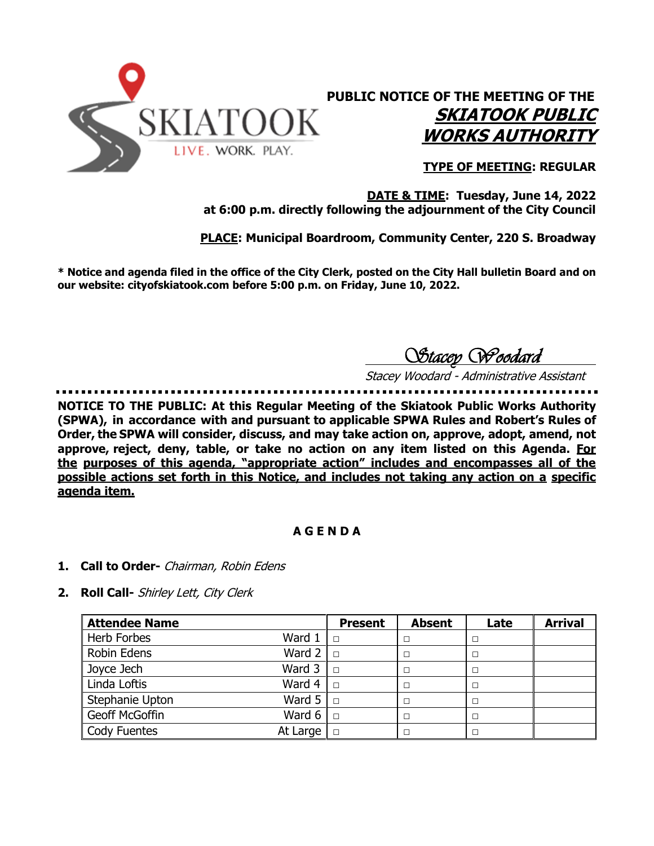

# **PUBLIC NOTICE OF THE MEETING OF THE SKIATOOK PUBLIC WORKS AUTHORITY**

#### **TYPE OF MEETING: REGULAR**

**DATE & TIME: Tuesday, June 14, 2022 at 6:00 p.m. directly following the adjournment of the City Council**

**PLACE: Municipal Boardroom, Community Center, 220 S. Broadway**

**\* Notice and agenda filed in the office of the City Clerk, posted on the City Hall bulletin Board and on our website: cityofskiatook.com before 5:00 p.m. on Friday, June 10, 2022.**

*Stacey Woodard* 

Stacey Woodard - Administrative Assistant

**NOTICE TO THE PUBLIC: At this Regular Meeting of the Skiatook Public Works Authority (SPWA), in accordance with and pursuant to applicable SPWA Rules and Robert's Rules of Order, the SPWA will consider, discuss, and may take action on, approve, adopt, amend, not approve, reject, deny, table, or take no action on any item listed on this Agenda. For the purposes of this agenda, "appropriate action" includes and encompasses all of the possible actions set forth in this Notice, and includes not taking any action on a specific agenda item.**

### **A G E N D A**

- **1. Call to Order-** Chairman, Robin Edens
- **2. Roll Call-** Shirley Lett, City Clerk

| <b>Attendee Name</b>  |                           | <b>Present</b> | <b>Absent</b> | Late | <b>Arrival</b> |
|-----------------------|---------------------------|----------------|---------------|------|----------------|
| Herb Forbes           | Ward 1                    |                |               |      |                |
| Robin Edens           | Ward $2 \parallel$ $\Box$ |                |               |      |                |
| Joyce Jech            | Ward 3                    | $\Box$         |               |      |                |
| Linda Loftis          | Ward 4                    | $\mathsf{I}$   |               |      |                |
| Stephanie Upton       | Ward $5 \parallel$ $\Box$ |                |               |      |                |
| <b>Geoff McGoffin</b> | Ward 6 $\Box$             |                |               |      |                |
| <b>Cody Fuentes</b>   | At Large                  |                |               |      |                |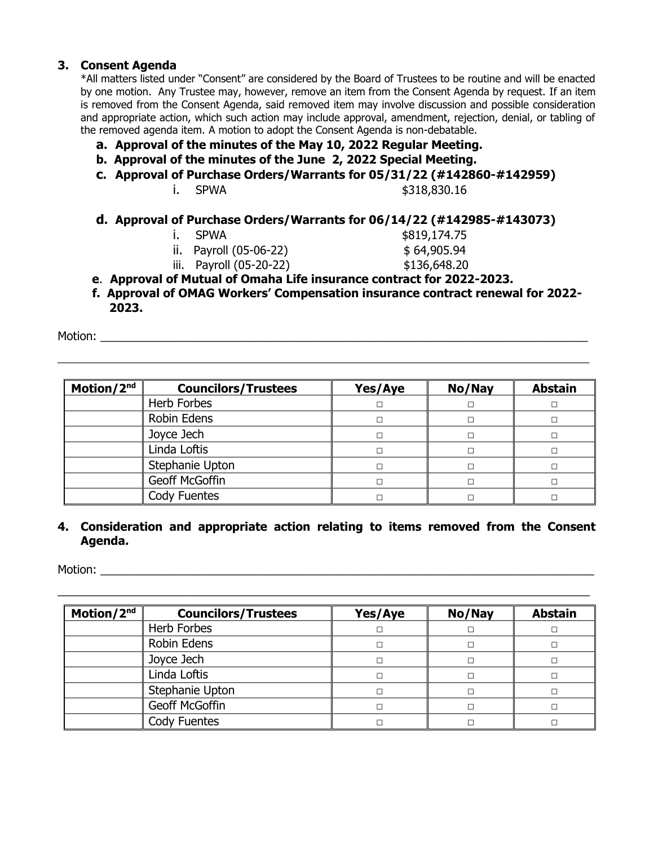#### **3. Consent Agenda**

\*All matters listed under "Consent" are considered by the Board of Trustees to be routine and will be enacted by one motion. Any Trustee may, however, remove an item from the Consent Agenda by request. If an item is removed from the Consent Agenda, said removed item may involve discussion and possible consideration and appropriate action, which such action may include approval, amendment, rejection, denial, or tabling of the removed agenda item. A motion to adopt the Consent Agenda is non-debatable.

- **a. Approval of the minutes of the May 10, 2022 Regular Meeting.**
- **b. Approval of the minutes of the June 2, 2022 Special Meeting.**
- **c. Approval of Purchase Orders/Warrants for 05/31/22 (#142860-#142959)**
	-

i. SPWA \$318,830.16

#### **d. Approval of Purchase Orders/Warrants for 06/14/22 (#142985-#143073)**

- 
- ii. Payroll (05-06-22) \$ 64,905.94

i. SPWA \$819,174.75

- iii. Payroll (05-20-22) \$136,648.20
- **e**. **Approval of Mutual of Omaha Life insurance contract for 2022-2023.**
- **f. Approval of OMAG Workers' Compensation insurance contract renewal for 2022- 2023.**

Motion: \_\_\_\_\_\_\_\_\_\_\_\_\_\_\_\_\_\_\_\_\_\_\_\_\_\_\_\_\_\_\_\_\_\_\_\_\_\_\_\_\_\_\_\_\_\_\_\_\_\_\_\_\_\_\_\_\_\_\_\_\_\_\_\_\_\_\_\_\_\_\_\_\_\_\_\_

| Motion/2 <sup>nd</sup> | <b>Councilors/Trustees</b> | Yes/Aye | No/Nay | <b>Abstain</b> |
|------------------------|----------------------------|---------|--------|----------------|
|                        | Herb Forbes                |         |        |                |
|                        | Robin Edens                |         |        |                |
|                        | Joyce Jech                 |         |        |                |
|                        | Linda Loftis               |         |        |                |
|                        | Stephanie Upton            |         |        |                |
|                        | Geoff McGoffin             |         |        |                |
|                        | Cody Fuentes               |         |        |                |

\_\_\_\_\_\_\_\_\_\_\_\_\_\_\_\_\_\_\_\_\_\_\_\_\_\_\_\_\_\_\_\_\_\_\_\_\_\_\_\_\_\_\_\_\_\_\_\_\_\_\_\_\_\_\_\_\_\_\_\_\_\_\_\_\_\_\_\_\_\_\_\_\_\_\_\_\_\_\_\_\_\_\_

**4. Consideration and appropriate action relating to items removed from the Consent Agenda.** 

\_\_\_\_\_\_\_\_\_\_\_\_\_\_\_\_\_\_\_\_\_\_\_\_\_\_\_\_\_\_\_\_\_\_\_\_\_\_\_\_\_\_\_\_\_\_\_\_\_\_\_\_\_\_\_\_\_\_\_\_\_\_\_\_\_\_\_\_\_\_\_\_\_\_\_\_\_\_\_\_\_\_\_

Motion: where  $\blacksquare$ 

| Motion/2nd | <b>Councilors/Trustees</b> | Yes/Aye | No/Nay | <b>Abstain</b> |
|------------|----------------------------|---------|--------|----------------|
|            | Herb Forbes                |         |        |                |
|            | Robin Edens                |         |        |                |
|            | Joyce Jech                 |         |        |                |
|            | Linda Loftis               |         |        |                |
|            | Stephanie Upton            |         |        |                |
|            | Geoff McGoffin             |         |        |                |
|            | Cody Fuentes               |         |        |                |